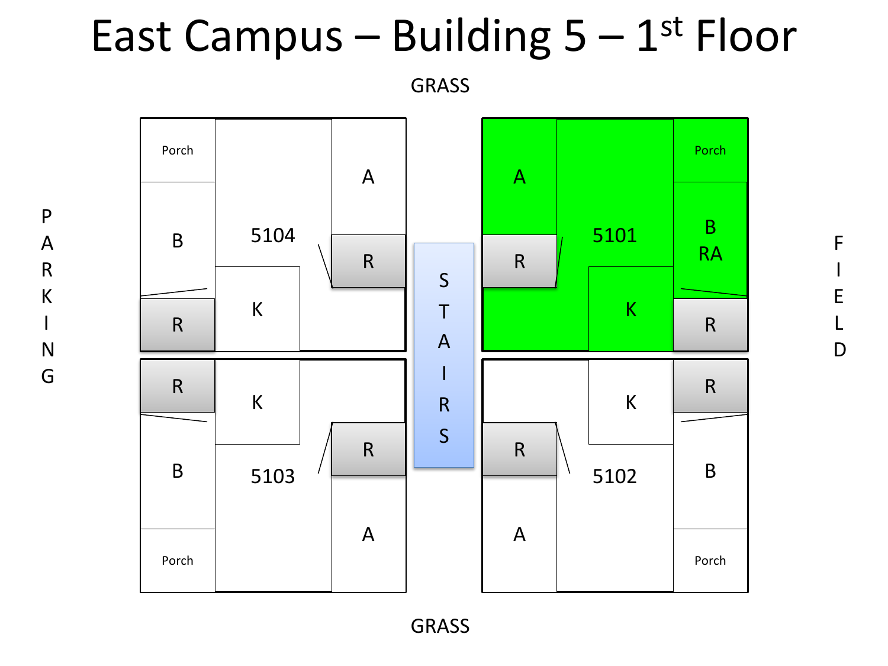## East Campus - Building  $5 - 1$ <sup>st</sup> Floor

GRASS

P

A

R

K

I

N

G



GRASS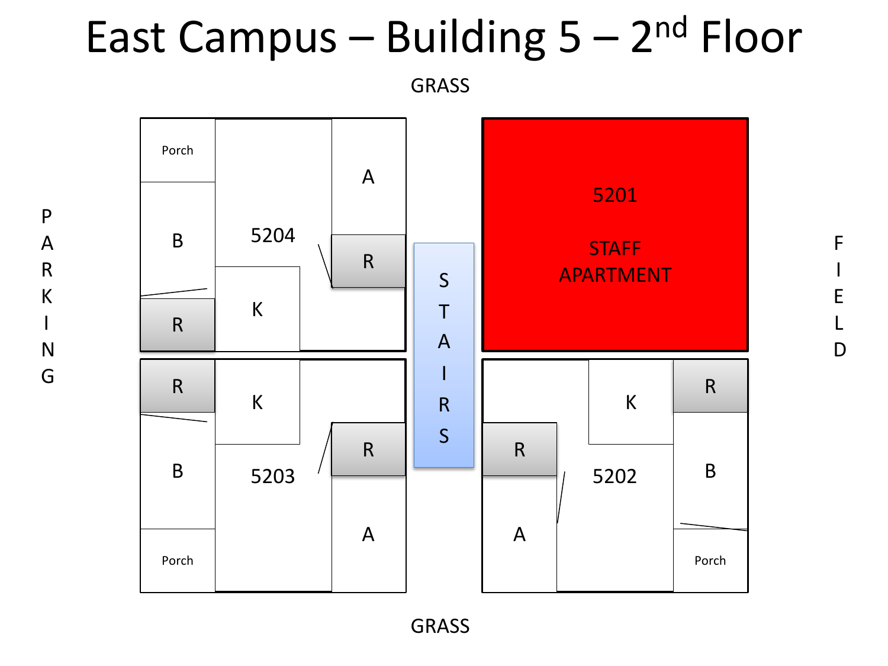## East Campus - Building 5 - 2<sup>nd</sup> Floor

GRASS



F

I

E

L

D

GRASS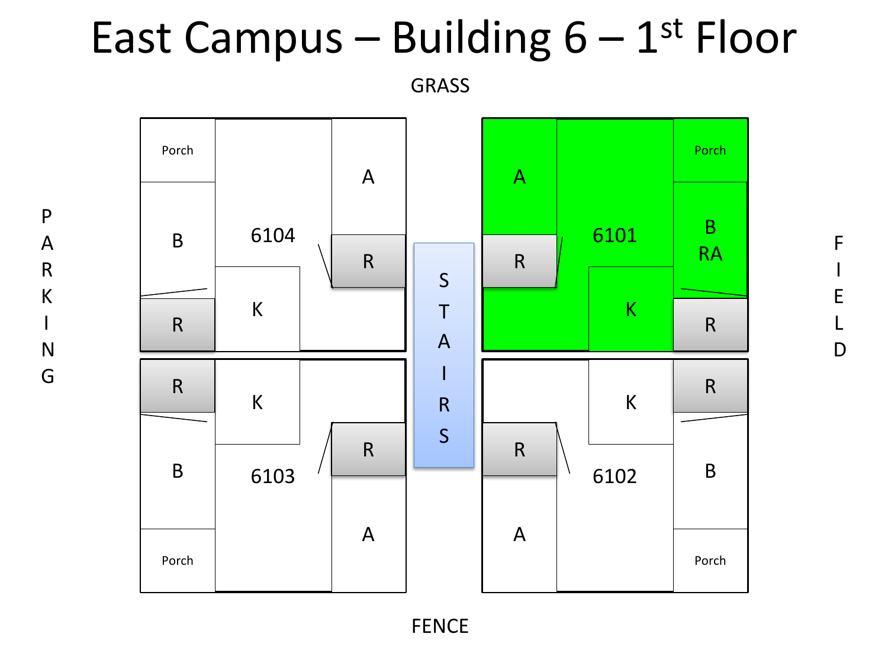## East Campus - Building  $6-1$ <sup>st</sup> Floor

GRASS

P

A

R

K

I

N

G